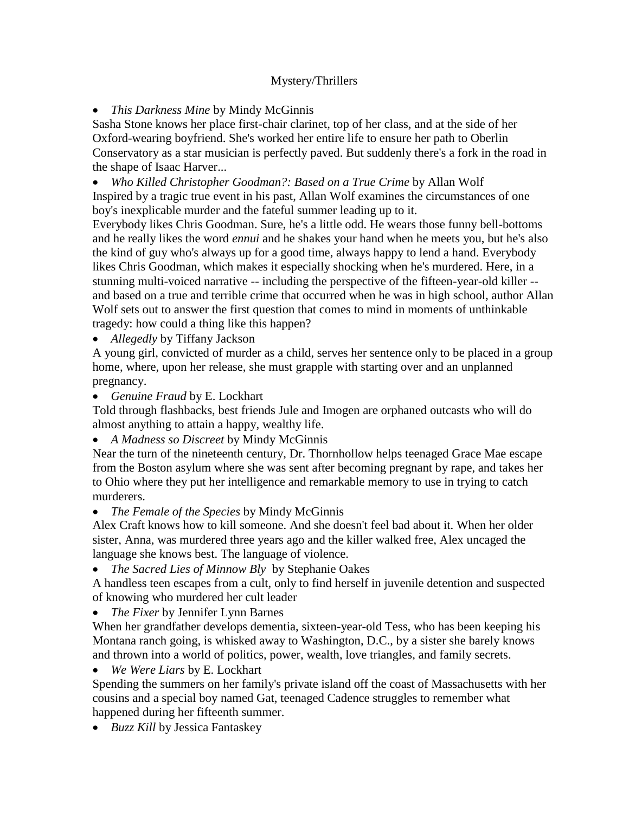## Mystery/Thrillers

*This Darkness Mine* by Mindy McGinnis

Sasha Stone knows her place first-chair clarinet, top of her class, and at the side of her Oxford-wearing boyfriend. She's worked her entire life to ensure her path to Oberlin Conservatory as a star musician is perfectly paved. But suddenly there's a fork in the road in the shape of Isaac Harver...

 *Who Killed Christopher Goodman?: Based on a True Crime* by Allan Wolf Inspired by a tragic true event in his past, Allan Wolf examines the circumstances of one boy's inexplicable murder and the fateful summer leading up to it.

Everybody likes Chris Goodman. Sure, he's a little odd. He wears those funny bell-bottoms and he really likes the word *ennui* and he shakes your hand when he meets you, but he's also the kind of guy who's always up for a good time, always happy to lend a hand. Everybody likes Chris Goodman, which makes it especially shocking when he's murdered. Here, in a stunning multi-voiced narrative -- including the perspective of the fifteen-year-old killer - and based on a true and terrible crime that occurred when he was in high school, author Allan Wolf sets out to answer the first question that comes to mind in moments of unthinkable tragedy: how could a thing like this happen?

*Allegedly* by Tiffany Jackson

A young girl, convicted of murder as a child, serves her sentence only to be placed in a group home, where, upon her release, she must grapple with starting over and an unplanned pregnancy.

*Genuine Fraud* by E. Lockhart

Told through flashbacks, best friends Jule and Imogen are orphaned outcasts who will do almost anything to attain a happy, wealthy life.

*A Madness so Discreet* by Mindy McGinnis

Near the turn of the nineteenth century, Dr. Thornhollow helps teenaged Grace Mae escape from the Boston asylum where she was sent after becoming pregnant by rape, and takes her to Ohio where they put her intelligence and remarkable memory to use in trying to catch murderers.

*The Female of the Species* by Mindy McGinnis

Alex Craft knows how to kill someone. And she doesn't feel bad about it. When her older sister, Anna, was murdered three years ago and the killer walked free, Alex uncaged the language she knows best. The language of violence.

*The Sacred Lies of Minnow Bly* by Stephanie Oakes

A handless teen escapes from a cult, only to find herself in juvenile detention and suspected of knowing who murdered her cult leader

*The Fixer* by Jennifer Lynn Barnes

When her grandfather develops dementia, sixteen-year-old Tess, who has been keeping his Montana ranch going, is whisked away to Washington, D.C., by a sister she barely knows and thrown into a world of politics, power, wealth, love triangles, and family secrets.

*We Were Liars* by E. Lockhart

Spending the summers on her family's private island off the coast of Massachusetts with her cousins and a special boy named Gat, teenaged Cadence struggles to remember what happened during her fifteenth summer.

*Buzz Kill* by Jessica Fantaskey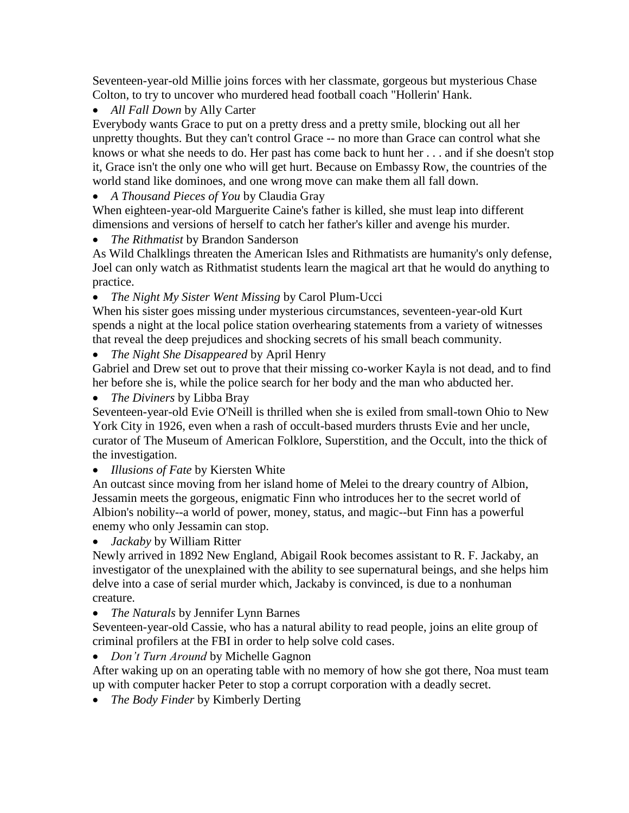Seventeen-year-old Millie joins forces with her classmate, gorgeous but mysterious Chase Colton, to try to uncover who murdered head football coach "Hollerin' Hank.

*All Fall Down* by Ally Carter

Everybody wants Grace to put on a pretty dress and a pretty smile, blocking out all her unpretty thoughts. But they can't control Grace -- no more than Grace can control what she knows or what she needs to do. Her past has come back to hunt her . . . and if she doesn't stop it, Grace isn't the only one who will get hurt. Because on Embassy Row, the countries of the world stand like dominoes, and one wrong move can make them all fall down.

*A Thousand Pieces of You* by Claudia Gray

When eighteen-year-old Marguerite Caine's father is killed, she must leap into different dimensions and versions of herself to catch her father's killer and avenge his murder.

*The Rithmatist* by Brandon Sanderson

As Wild Chalklings threaten the American Isles and Rithmatists are humanity's only defense, Joel can only watch as Rithmatist students learn the magical art that he would do anything to practice.

*The Night My Sister Went Missing* by Carol Plum-Ucci

When his sister goes missing under mysterious circumstances, seventeen-year-old Kurt spends a night at the local police station overhearing statements from a variety of witnesses that reveal the deep prejudices and shocking secrets of his small beach community.

*The Night She Disappeared* by April Henry

Gabriel and Drew set out to prove that their missing co-worker Kayla is not dead, and to find her before she is, while the police search for her body and the man who abducted her.

*The Diviners* by Libba Bray

Seventeen-year-old Evie O'Neill is thrilled when she is exiled from small-town Ohio to New York City in 1926, even when a rash of occult-based murders thrusts Evie and her uncle, curator of The Museum of American Folklore, Superstition, and the Occult, into the thick of the investigation.

*Illusions of Fate* by Kiersten White

An outcast since moving from her island home of Melei to the dreary country of Albion, Jessamin meets the gorgeous, enigmatic Finn who introduces her to the secret world of Albion's nobility--a world of power, money, status, and magic--but Finn has a powerful enemy who only Jessamin can stop.

*Jackaby* by William Ritter

Newly arrived in 1892 New England, Abigail Rook becomes assistant to R. F. Jackaby, an investigator of the unexplained with the ability to see supernatural beings, and she helps him delve into a case of serial murder which, Jackaby is convinced, is due to a nonhuman creature.

*The Naturals* by Jennifer Lynn Barnes

Seventeen-year-old Cassie, who has a natural ability to read people, joins an elite group of criminal profilers at the FBI in order to help solve cold cases.

*Don't Turn Around* by Michelle Gagnon

After waking up on an operating table with no memory of how she got there, Noa must team up with computer hacker Peter to stop a corrupt corporation with a deadly secret.

*The Body Finder* by Kimberly Derting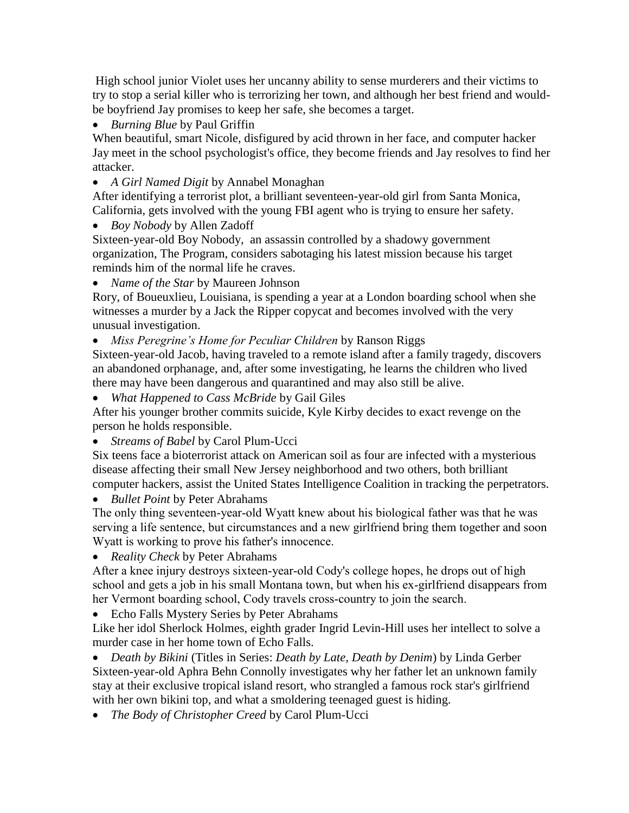High school junior Violet uses her uncanny ability to sense murderers and their victims to try to stop a serial killer who is terrorizing her town, and although her best friend and wouldbe boyfriend Jay promises to keep her safe, she becomes a target.

*Burning Blue* by Paul Griffin

When beautiful, smart Nicole, disfigured by acid thrown in her face, and computer hacker Jay meet in the school psychologist's office, they become friends and Jay resolves to find her attacker.

*A Girl Named Digit* by Annabel Monaghan

After identifying a terrorist plot, a brilliant seventeen-year-old girl from Santa Monica, California, gets involved with the young FBI agent who is trying to ensure her safety.

*Boy Nobody* by Allen Zadoff

Sixteen-year-old Boy Nobody, an assassin controlled by a shadowy government organization, The Program, considers sabotaging his latest mission because his target reminds him of the normal life he craves.

*Name of the Star* by Maureen Johnson

Rory, of Boueuxlieu, Louisiana, is spending a year at a London boarding school when she witnesses a murder by a Jack the Ripper copycat and becomes involved with the very unusual investigation.

*Miss Peregrine's Home for Peculiar Children* by Ranson Riggs

Sixteen-year-old Jacob, having traveled to a remote island after a family tragedy, discovers an abandoned orphanage, and, after some investigating, he learns the children who lived there may have been dangerous and quarantined and may also still be alive.

*What Happened to Cass McBride* by Gail Giles

After his younger brother commits suicide, Kyle Kirby decides to exact revenge on the person he holds responsible.

*Streams of Babel* by Carol Plum-Ucci

Six teens face a bioterrorist attack on American soil as four are infected with a mysterious disease affecting their small New Jersey neighborhood and two others, both brilliant computer hackers, assist the United States Intelligence Coalition in tracking the perpetrators.

*Bullet Point* by Peter Abrahams

The only thing seventeen-year-old Wyatt knew about his biological father was that he was serving a life sentence, but circumstances and a new girlfriend bring them together and soon Wyatt is working to prove his father's innocence.

*Reality Check* by Peter Abrahams

After a knee injury destroys sixteen-year-old Cody's college hopes, he drops out of high school and gets a job in his small Montana town, but when his ex-girlfriend disappears from her Vermont boarding school, Cody travels cross-country to join the search.

Echo Falls Mystery Series by Peter Abrahams

Like her idol Sherlock Holmes, eighth grader Ingrid Levin-Hill uses her intellect to solve a murder case in her home town of Echo Falls.

 *Death by Bikini* (Titles in Series: *Death by Late, Death by Denim*) by Linda Gerber Sixteen-year-old Aphra Behn Connolly investigates why her father let an unknown family stay at their exclusive tropical island resort, who strangled a famous rock star's girlfriend with her own bikini top, and what a smoldering teenaged guest is hiding.

*The Body of Christopher Creed* by Carol Plum-Ucci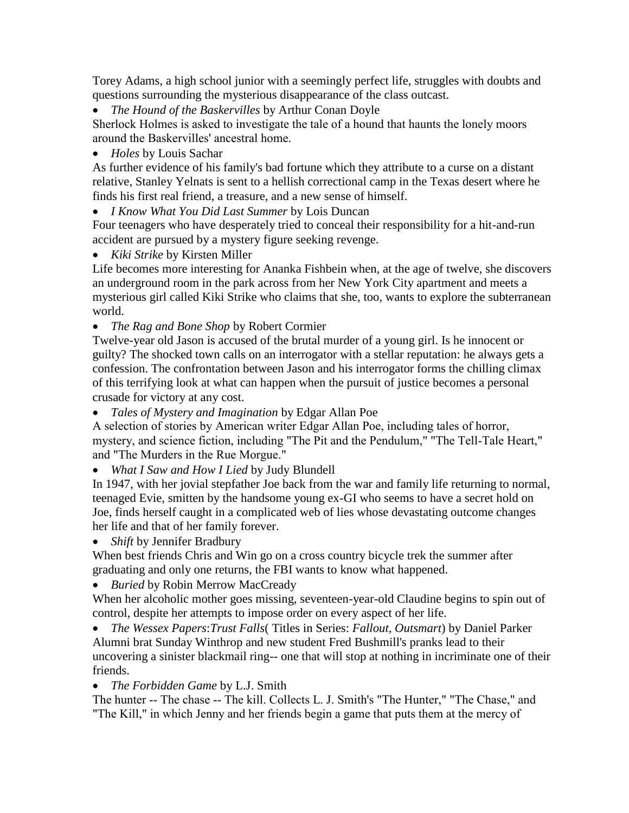Torey Adams, a high school junior with a seemingly perfect life, struggles with doubts and questions surrounding the mysterious disappearance of the class outcast.

*The Hound of the Baskervilles* by Arthur Conan Doyle

Sherlock Holmes is asked to investigate the tale of a hound that haunts the lonely moors around the Baskervilles' ancestral home.

*Holes* by Louis Sachar

As further evidence of his family's bad fortune which they attribute to a curse on a distant relative, Stanley Yelnats is sent to a hellish correctional camp in the Texas desert where he finds his first real friend, a treasure, and a new sense of himself.

*I Know What You Did Last Summer* by Lois Duncan

Four teenagers who have desperately tried to conceal their responsibility for a hit-and-run accident are pursued by a mystery figure seeking revenge.

*Kiki Strike* by Kirsten Miller

Life becomes more interesting for Ananka Fishbein when, at the age of twelve, she discovers an underground room in the park across from her New York City apartment and meets a mysterious girl called Kiki Strike who claims that she, too, wants to explore the subterranean world.

*The Rag and Bone Shop* by Robert Cormier

Twelve-year old Jason is accused of the brutal murder of a young girl. Is he innocent or guilty? The shocked town calls on an interrogator with a stellar reputation: he always gets a confession. The confrontation between Jason and his interrogator forms the chilling climax of this terrifying look at what can happen when the pursuit of justice becomes a personal crusade for victory at any cost.

*Tales of Mystery and Imagination* by Edgar Allan Poe

A selection of stories by American writer Edgar Allan Poe, including tales of horror, mystery, and science fiction, including "The Pit and the Pendulum," "The Tell-Tale Heart," and "The Murders in the Rue Morgue."

*What I Saw and How I Lied* by Judy Blundell

In 1947, with her jovial stepfather Joe back from the war and family life returning to normal, teenaged Evie, smitten by the handsome young ex-GI who seems to have a secret hold on Joe, finds herself caught in a complicated web of lies whose devastating outcome changes her life and that of her family forever.

*Shift* by Jennifer Bradbury

When best friends Chris and Win go on a cross country bicycle trek the summer after graduating and only one returns, the FBI wants to know what happened.

*Buried* by Robin Merrow MacCready

When her alcoholic mother goes missing, seventeen-year-old Claudine begins to spin out of control, despite her attempts to impose order on every aspect of her life.

 *The Wessex Papers*:*Trust Falls*( Titles in Series: *Fallout, Outsmart*) by Daniel Parker Alumni brat Sunday Winthrop and new student Fred Bushmill's pranks lead to their uncovering a sinister blackmail ring-- one that will stop at nothing in incriminate one of their friends.

*The Forbidden Game* by L.J. Smith

The hunter -- The chase -- The kill. Collects L. J. Smith's "The Hunter," "The Chase," and "The Kill," in which Jenny and her friends begin a game that puts them at the mercy of